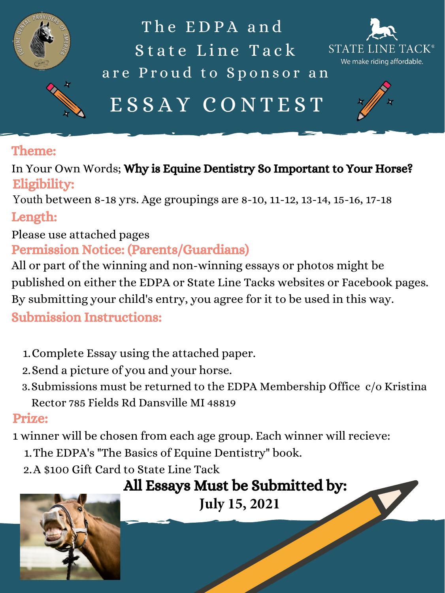

ESSAY CONTEST The EDPA and State Line Tack are Proud to Sponsor an



- 1. Complete Essay using the attached paper.
- 2. Send a picture of you and your horse.
- Submissions must be returned to the EDPA Membership Office c/o Kristina 3. Rector 785 Fields Rd Dansville MI 48819

1. The EDPA's "The Basics of Equine Dentistry" book. A \$100 Gift Card to State Line Tack 2. 1 winner will be chosen from each age group. Each winner will recieve:

### Prize:

#### Theme:

In Your Own Words; Why is Equine Dentistry So Important to Your Horse? Eligibility:

Youth between 8-18 yrs. Age groupings are 8-10, 11-12, 13-14, 15-16, 17-18

Length:

Please use attached pages

### Permission Notice: (Parents/Guardians)

All or part of the winning and non-winning essays or photos might be published on either the EDPA or State Line Tacks websites or Facebook pages. By submitting your child's entry, you agree for it to be used in this way.

### Submission Instructions:

## All Essays Must be Submitted by:

**July 15, 2021**

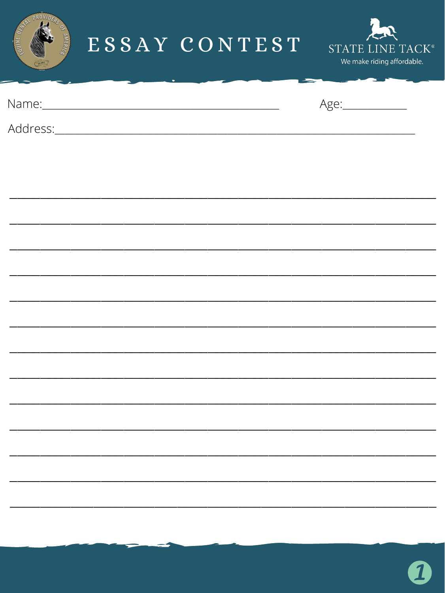

## ESSAY CONTEST



Name:



Address:

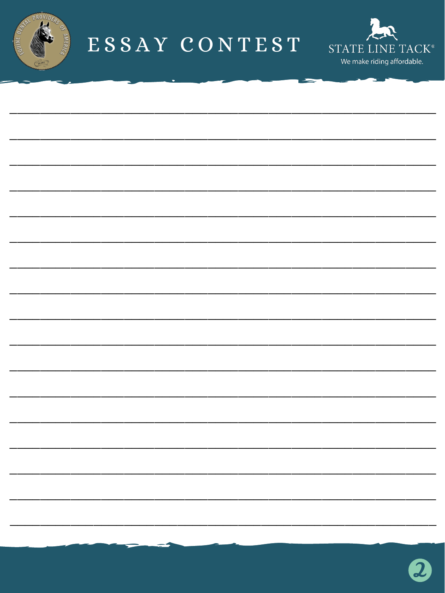

# ESSAY CONTEST